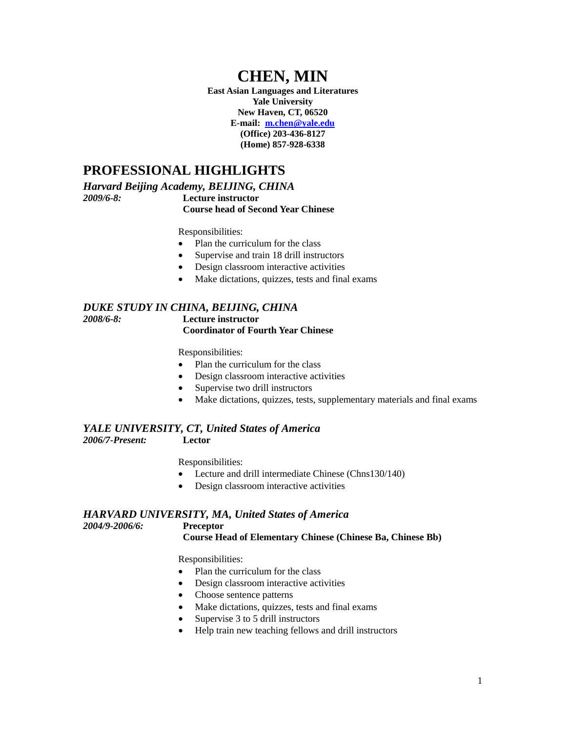# **CHEN, MIN**

**East Asian Languages and Literatures Yale University New Haven, CT, 06520 E-mail: [m.chen@yale.edu](mailto:m.chen@yale.edu) (Office) 203-436-8127 (Home) 857-928-6338**

### **PROFESSIONAL HIGHLIGHTS**

*Harvard Beijing Academy, BEIJING, CHINA 2009/6-8:* **Lecture instructor**

**Course head of Second Year Chinese**

Responsibilities:

- Plan the curriculum for the class
- Supervise and train 18 drill instructors
- Design classroom interactive activities
- Make dictations, quizzes, tests and final exams

#### *DUKE STUDY IN CHINA, BEIJING, CHINA 2008/6-8:* **Lecture instructor Coordinator of Fourth Year Chinese**

Responsibilities:

- Plan the curriculum for the class
- Design classroom interactive activities
- Supervise two drill instructors
- Make dictations, quizzes, tests, supplementary materials and final exams

#### *YALE UNIVERSITY, CT, United States of America*

*2006/7-Present:* **Lector**

Responsibilities:

- Lecture and drill intermediate Chinese (Chns130/140)
- Design classroom interactive activities

#### *HARVARD UNIVERSITY, MA, United States of America 2004/9-2006/6:* **Preceptor**

**Course Head of Elementary Chinese (Chinese Ba, Chinese Bb)**

Responsibilities:

- Plan the curriculum for the class
- Design classroom interactive activities
- Choose sentence patterns
- Make dictations, quizzes, tests and final exams
- Supervise 3 to 5 drill instructors
- Help train new teaching fellows and drill instructors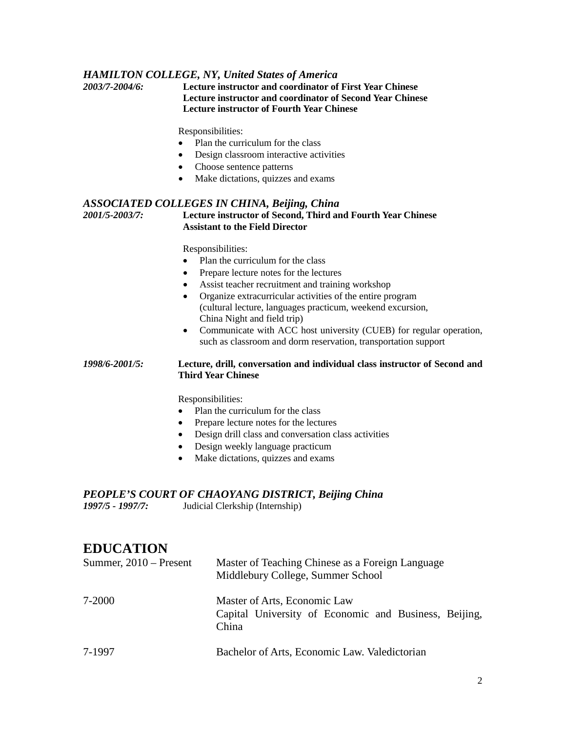#### *HAMILTON COLLEGE, NY, United States of America*

*2003/7-2004/6:* **Lecture instructor and coordinator of First Year Chinese Lecture instructor and coordinator of Second Year Chinese Lecture instructor of Fourth Year Chinese**

Responsibilities:

- Plan the curriculum for the class
- Design classroom interactive activities
- Choose sentence patterns
- Make dictations, quizzes and exams

#### *ASSOCIATED COLLEGES IN CHINA, Beijing, China 2001/5-2003/7:* **Lecture instructor of Second, Third and Fourth Year Chinese Assistant to the Field Director**

Responsibilities:

- Plan the curriculum for the class
- Prepare lecture notes for the lectures
- Assist teacher recruitment and training workshop
- Organize extracurricular activities of the entire program (cultural lecture, languages practicum, weekend excursion, China Night and field trip)
- Communicate with ACC host university (CUEB) for regular operation, such as classroom and dorm reservation, transportation support

#### *1998/6-2001/5:* **Lecture, drill, conversation and individual class instructor of Second and Third Year Chinese**

Responsibilities:

- Plan the curriculum for the class
- Prepare lecture notes for the lectures
- Design drill class and conversation class activities
- Design weekly language practicum
- Make dictations, quizzes and exams

# *PEOPLE'S COURT OF CHAOYANG DISTRICT, Beijing China*<br>1997/5 - 1997/7: Judicial Clerkship (Internship)

*1997/5 - 1997/7:* Judicial Clerkship (Internship)

### **EDUCATION**

| Summer, $2010$ – Present | Master of Teaching Chinese as a Foreign Language<br>Middlebury College, Summer School          |
|--------------------------|------------------------------------------------------------------------------------------------|
| 7-2000                   | Master of Arts, Economic Law<br>Capital University of Economic and Business, Beijing,<br>China |
| 7-1997                   | Bachelor of Arts, Economic Law. Valedictorian                                                  |